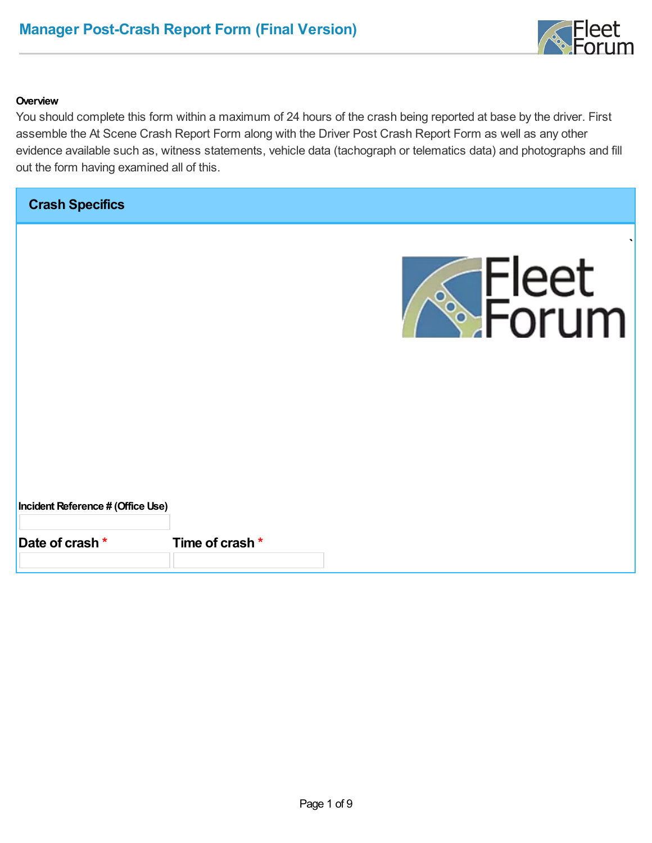

#### **Overview**

You should complete this form within a maximum of 24 hours of the crash being reported at base by the driver. First assemble the At Scene Crash Report Form along with the Driver Post Crash Report Form as well as any other evidence available such as, witness statements, vehicle data (tachograph or telematics data) and photographs and fill out the form having examined all of this.

**Crash Specifics**



**Incident Reference # (Office Use)**

**Date of crash \* Time of crash \***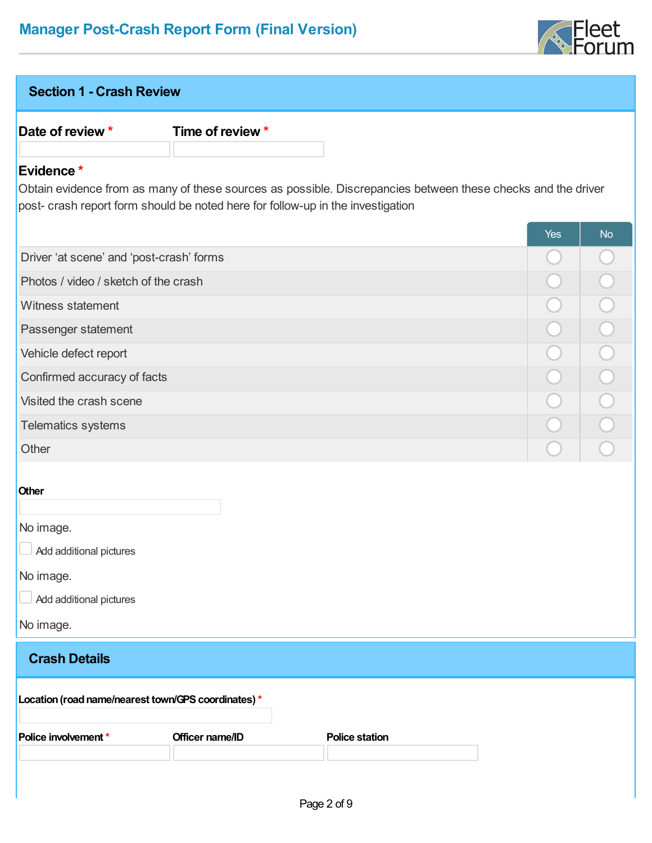

| <b>Section 1 - Crash Review</b>                     |                                                                                 |                                                                                                              |            |                       |
|-----------------------------------------------------|---------------------------------------------------------------------------------|--------------------------------------------------------------------------------------------------------------|------------|-----------------------|
| Date of review *                                    | Time of review *                                                                |                                                                                                              |            |                       |
|                                                     |                                                                                 |                                                                                                              |            |                       |
| Evidence*                                           | post- crash report form should be noted here for follow-up in the investigation | Obtain evidence from as many of these sources as possible. Discrepancies between these checks and the driver |            |                       |
|                                                     |                                                                                 |                                                                                                              | <b>Yes</b> | <b>No</b>             |
| Driver 'at scene' and 'post-crash' forms            |                                                                                 |                                                                                                              |            |                       |
| Photos / video / sketch of the crash                |                                                                                 |                                                                                                              |            |                       |
| Witness statement                                   |                                                                                 |                                                                                                              |            |                       |
| Passenger statement                                 |                                                                                 |                                                                                                              |            | $\overline{O}$        |
| Vehicle defect report                               |                                                                                 |                                                                                                              |            | $\overline{\bigcirc}$ |
| Confirmed accuracy of facts                         |                                                                                 |                                                                                                              |            | $\overline{O}$        |
| Visited the crash scene                             |                                                                                 |                                                                                                              |            |                       |
| Telematics systems                                  |                                                                                 |                                                                                                              |            |                       |
| Other                                               |                                                                                 |                                                                                                              |            |                       |
| <b>Other</b>                                        |                                                                                 |                                                                                                              |            |                       |
| No image.<br>Add additional pictures                |                                                                                 |                                                                                                              |            |                       |
| No image.                                           |                                                                                 |                                                                                                              |            |                       |
| Add additional pictures                             |                                                                                 |                                                                                                              |            |                       |
| No image.                                           |                                                                                 |                                                                                                              |            |                       |
| <b>Crash Details</b>                                |                                                                                 |                                                                                                              |            |                       |
| Location (road name/nearest town/GPS coordinates) * |                                                                                 |                                                                                                              |            |                       |
| Police involvement *                                | Officer name/ID                                                                 | <b>Police station</b>                                                                                        |            |                       |
|                                                     |                                                                                 |                                                                                                              |            |                       |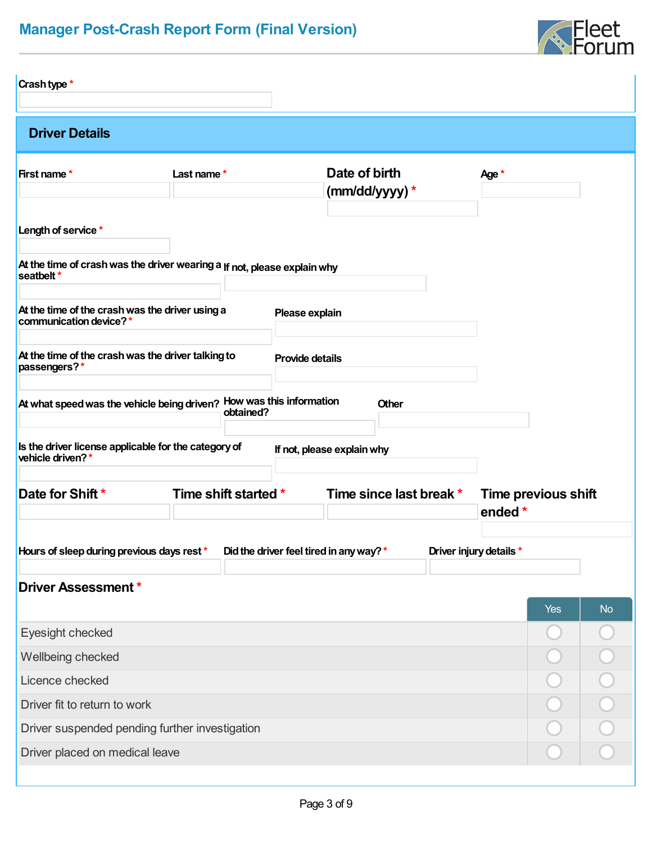

| Crash type *                                                                           |                      |                                         |                                |
|----------------------------------------------------------------------------------------|----------------------|-----------------------------------------|--------------------------------|
| <b>Driver Details</b>                                                                  |                      |                                         |                                |
| First name*                                                                            | Last name*           | Date of birth<br>(mm/dd/yyyy) *         | Age *                          |
| Length of service *                                                                    |                      |                                         |                                |
| At the time of crash was the driver wearing a If not, please explain why<br>seatbelt * |                      |                                         |                                |
| At the time of the crash was the driver using a<br>communication device?*              |                      | Please explain                          |                                |
| At the time of the crash was the driver talking to<br>passengers?*                     |                      | <b>Provide details</b>                  |                                |
| At what speed was the vehicle being driven? How was this information                   | obtained?            | Other                                   |                                |
| Is the driver license applicable for the category of<br>vehicle driven?*               |                      | If not, please explain why              |                                |
| Date for Shift *                                                                       | Time shift started * | Time since last break *                 | Time previous shift<br>ended * |
| Hours of sleep during previous days rest*                                              |                      | Did the driver feel tired in any way? * | Driver injury details *        |
| <b>Driver Assessment *</b>                                                             |                      |                                         | <b>Yes</b><br><b>No</b>        |
| Eyesight checked                                                                       |                      |                                         |                                |
| Wellbeing checked                                                                      |                      |                                         |                                |
| Licence checked                                                                        |                      |                                         |                                |
| Driver fit to return to work                                                           |                      |                                         |                                |
| Driver suspended pending further investigation                                         |                      |                                         |                                |
| Driver placed on medical leave                                                         |                      |                                         |                                |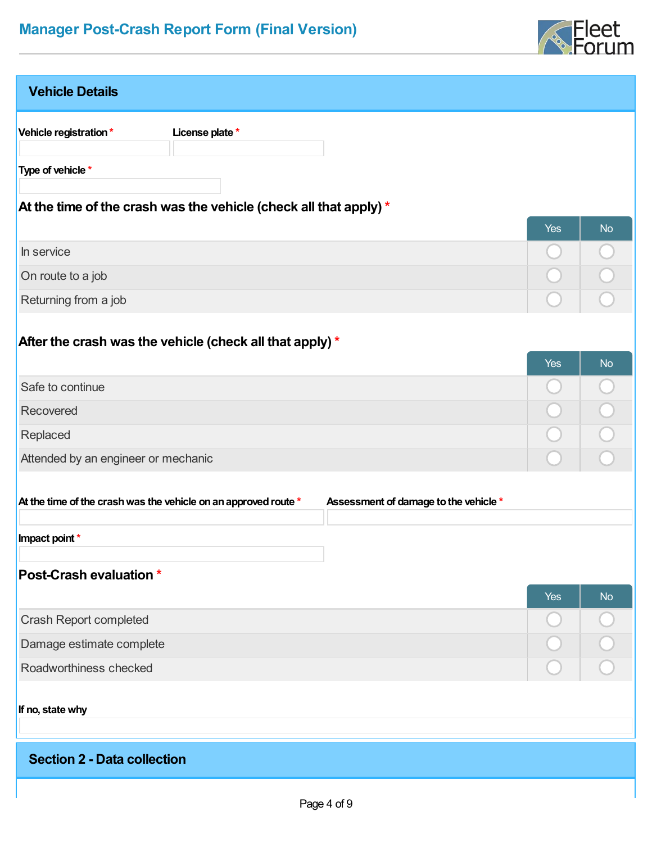

| <b>Vehicle Details</b>                                            |                                       |            |           |
|-------------------------------------------------------------------|---------------------------------------|------------|-----------|
| Vehicle registration*<br>License plate *                          |                                       |            |           |
| Type of vehicle *                                                 |                                       |            |           |
|                                                                   |                                       |            |           |
| At the time of the crash was the vehicle (check all that apply) * |                                       | <b>Yes</b> | <b>No</b> |
| In service                                                        |                                       |            |           |
| On route to a job                                                 |                                       |            |           |
| Returning from a job                                              |                                       |            |           |
|                                                                   |                                       |            |           |
| After the crash was the vehicle (check all that apply) *          |                                       |            |           |
|                                                                   |                                       | <b>Yes</b> | <b>No</b> |
| Safe to continue                                                  |                                       |            |           |
| Recovered                                                         |                                       |            |           |
| Replaced                                                          |                                       |            |           |
| Attended by an engineer or mechanic                               |                                       |            |           |
| At the time of the crash was the vehicle on an approved route *   | Assessment of damage to the vehicle * |            |           |
|                                                                   |                                       |            |           |
| Impact point *                                                    |                                       |            |           |
| <b>Post-Crash evaluation *</b>                                    |                                       |            |           |
|                                                                   |                                       | <b>Yes</b> | <b>No</b> |
| <b>Crash Report completed</b>                                     |                                       |            |           |
| Damage estimate complete                                          |                                       |            |           |
| Roadworthiness checked                                            |                                       |            |           |
|                                                                   |                                       |            |           |
| If no, state why                                                  |                                       |            |           |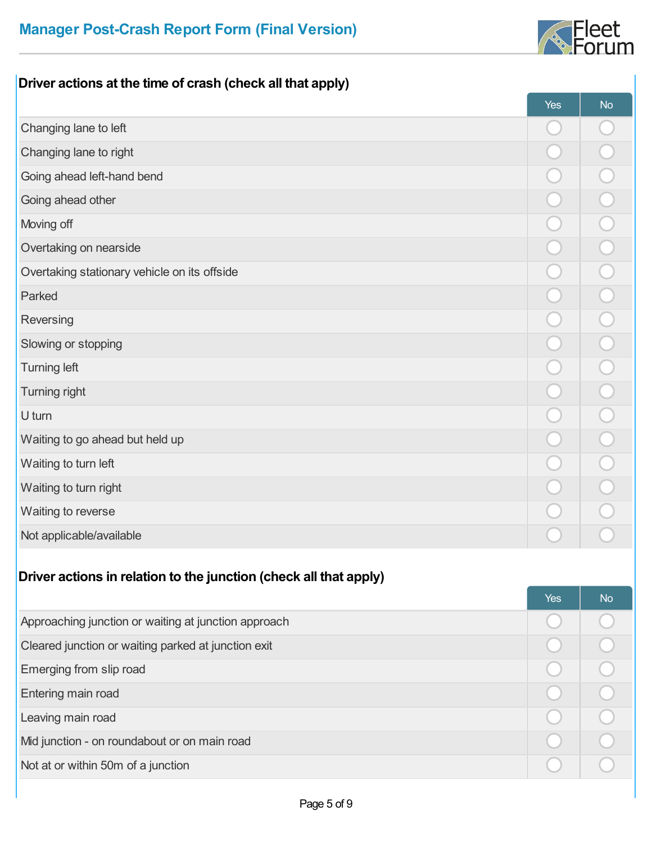

#### **Driver actions at the time of crash (check all that apply)**

|                                              | Yes | <b>No</b> |
|----------------------------------------------|-----|-----------|
| Changing lane to left                        |     |           |
| Changing lane to right                       |     |           |
| Going ahead left-hand bend                   |     |           |
| Going ahead other                            |     |           |
| Moving off                                   |     |           |
| Overtaking on nearside                       |     |           |
| Overtaking stationary vehicle on its offside |     |           |
| Parked                                       |     |           |
| Reversing                                    |     |           |
| Slowing or stopping                          |     |           |
| <b>Turning left</b>                          |     |           |
| Turning right                                |     |           |
| U turn                                       |     |           |
| Waiting to go ahead but held up              |     |           |
| Waiting to turn left                         |     |           |
| Waiting to turn right                        |     |           |
| Waiting to reverse                           |     |           |
| Not applicable/available                     |     |           |

#### **Driver actions in relation to the junction (check all that apply)**

|                                                      | <b>Yes</b> | <b>No</b> |
|------------------------------------------------------|------------|-----------|
| Approaching junction or waiting at junction approach |            |           |
| Cleared junction or waiting parked at junction exit  |            |           |
| Emerging from slip road                              |            |           |
| Entering main road                                   |            |           |
| Leaving main road                                    |            |           |
| Mid junction - on roundabout or on main road         |            |           |
| Not at or within 50m of a junction                   |            |           |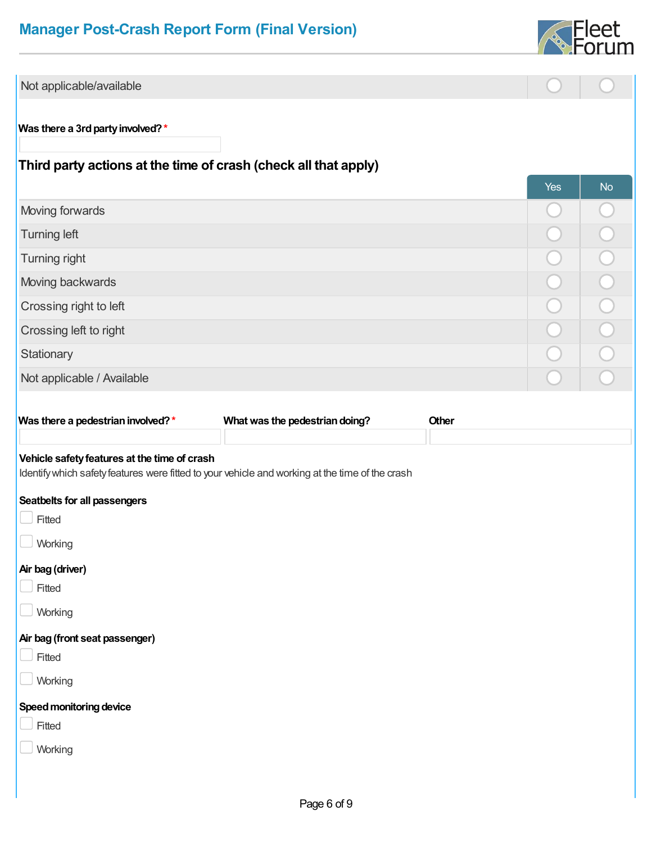

| Not applicable/available                                                                        |                                |       |            |           |
|-------------------------------------------------------------------------------------------------|--------------------------------|-------|------------|-----------|
|                                                                                                 |                                |       |            |           |
| Was there a 3rd party involved?*                                                                |                                |       |            |           |
| Third party actions at the time of crash (check all that apply)                                 |                                |       |            |           |
|                                                                                                 |                                |       | <b>Yes</b> | <b>No</b> |
| Moving forwards                                                                                 |                                |       |            |           |
| <b>Turning left</b>                                                                             |                                |       |            |           |
| Turning right                                                                                   |                                |       |            |           |
| Moving backwards                                                                                |                                |       |            |           |
| Crossing right to left                                                                          |                                |       |            |           |
| Crossing left to right                                                                          |                                |       |            |           |
| Stationary                                                                                      |                                |       |            |           |
| Not applicable / Available                                                                      |                                |       |            |           |
|                                                                                                 |                                |       |            |           |
| Was there a pedestrian involved?*                                                               | What was the pedestrian doing? | Other |            |           |
| Vehicle safety features at the time of crash                                                    |                                |       |            |           |
| Identify which safety features were fitted to your vehicle and working at the time of the crash |                                |       |            |           |
| Seatbelts for all passengers                                                                    |                                |       |            |           |
| Fitted                                                                                          |                                |       |            |           |
| $\Box$<br>Working                                                                               |                                |       |            |           |
| Air bag (driver)                                                                                |                                |       |            |           |
| $\Box$ Fitted                                                                                   |                                |       |            |           |
| Working                                                                                         |                                |       |            |           |
| Air bag (front seat passenger)                                                                  |                                |       |            |           |
| $\Box$ Fitted                                                                                   |                                |       |            |           |
| Working                                                                                         |                                |       |            |           |
| Speed monitoring device                                                                         |                                |       |            |           |
| Fitted                                                                                          |                                |       |            |           |
| Working                                                                                         |                                |       |            |           |
|                                                                                                 |                                |       |            |           |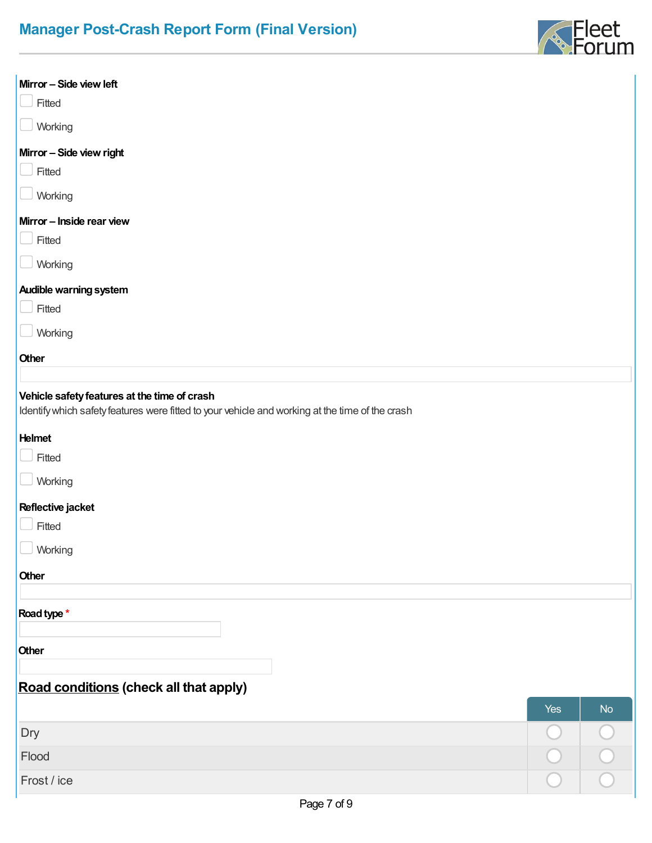

| Mirror - Side view left                                                                                                                         |     |           |
|-------------------------------------------------------------------------------------------------------------------------------------------------|-----|-----------|
| Fitted                                                                                                                                          |     |           |
| Working                                                                                                                                         |     |           |
| Mirror - Side view right                                                                                                                        |     |           |
| Fitted                                                                                                                                          |     |           |
| Working                                                                                                                                         |     |           |
| Mirror - Inside rear view                                                                                                                       |     |           |
| Fitted                                                                                                                                          |     |           |
| Working                                                                                                                                         |     |           |
| <b>Audible warning system</b>                                                                                                                   |     |           |
| Fitted                                                                                                                                          |     |           |
| Working                                                                                                                                         |     |           |
| Other                                                                                                                                           |     |           |
|                                                                                                                                                 |     |           |
| Vehicle safety features at the time of crash<br>Identify which safety features were fitted to your vehicle and working at the time of the crash |     |           |
| <b>Helmet</b>                                                                                                                                   |     |           |
| Fitted                                                                                                                                          |     |           |
| Working                                                                                                                                         |     |           |
| Reflective jacket                                                                                                                               |     |           |
| Fitted                                                                                                                                          |     |           |
| $\Box$ Working                                                                                                                                  |     |           |
| Other                                                                                                                                           |     |           |
|                                                                                                                                                 |     |           |
| Road type *                                                                                                                                     |     |           |
| Other                                                                                                                                           |     |           |
|                                                                                                                                                 |     |           |
| Road conditions (check all that apply)                                                                                                          |     |           |
|                                                                                                                                                 | Yes | <b>No</b> |
| Dry                                                                                                                                             |     |           |
| Flood                                                                                                                                           |     |           |
| Frost / ice                                                                                                                                     |     |           |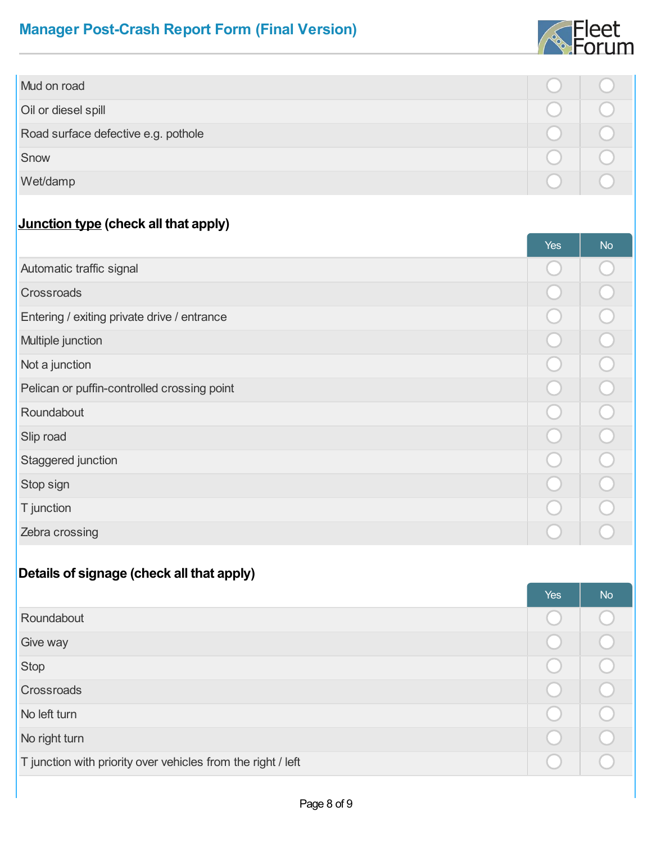

| Mud on road                         |  |
|-------------------------------------|--|
| Oil or diesel spill                 |  |
| Road surface defective e.g. pothole |  |
| Snow                                |  |
| Wet/damp                            |  |

#### **Junction type (check all that apply)**

|                                             | <b>Yes</b> | <b>No</b> |
|---------------------------------------------|------------|-----------|
| Automatic traffic signal                    |            |           |
| Crossroads                                  |            |           |
| Entering / exiting private drive / entrance |            |           |
| Multiple junction                           |            |           |
| Not a junction                              |            |           |
| Pelican or puffin-controlled crossing point |            |           |
| Roundabout                                  |            |           |
| Slip road                                   |            |           |
| Staggered junction                          |            |           |
| Stop sign                                   |            |           |
| T junction                                  |            |           |
| Zebra crossing                              |            |           |

#### **Details of signage (check all that apply)**

|                                                              | <b>Yes</b> | <b>No</b> |
|--------------------------------------------------------------|------------|-----------|
| Roundabout                                                   |            |           |
| Give way                                                     |            |           |
| <b>Stop</b>                                                  |            |           |
| Crossroads                                                   |            |           |
| No left turn                                                 |            |           |
| No right turn                                                |            |           |
| T junction with priority over vehicles from the right / left |            |           |